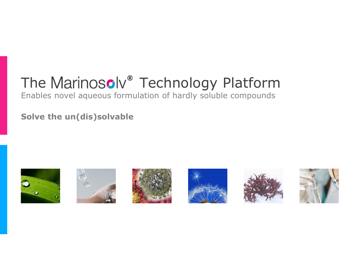# The Marinosolv<sup>®</sup> Technology Platform

### Enables novel aqueous formulation of hardly soluble compounds

**Solve the un(dis)solvable**











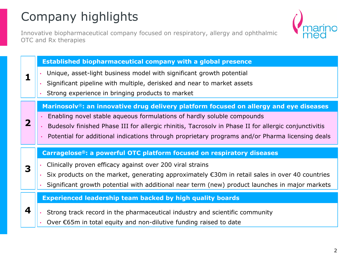## Company highlights

Innovative biopharmaceutical company focused on respiratory, allergy and ophthalmic OTC and Rx therapies



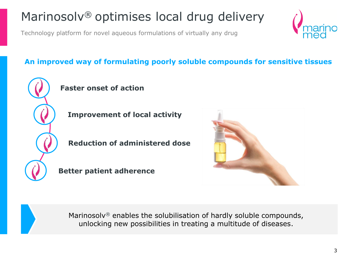## Marinosolv® optimises local drug delivery

Technology platform for novel aqueous formulations of virtually any drug

### **An improved way of formulating poorly soluble compounds for sensitive tissues**



### **Faster onset of action**

**Improvement of local activity**

**Reduction of administered dose**

**Better patient adherence**





Marinosolv® enables the solubilisation of hardly soluble compounds, unlocking new possibilities in treating a multitude of diseases.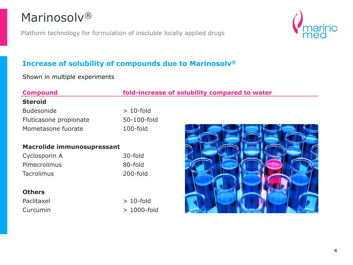### Marinosolv®

Platform technology for formulation of insoluble locally applied drugs



### **Increase of solubility of compounds due to Marinosolv®**

Shown in multiple experiments

### **Compound fold-increase of solubility compared to water**

#### **Steroid**

| <b>Budesonide</b>      | $>10$ -fold |
|------------------------|-------------|
| Fluticasone propionate | 50-100-fold |
| Mometasone fuorate     | $100$ -fold |

#### **Macrolide immunosupressant**

| Cyclosporin A       | 30-fold     |
|---------------------|-------------|
| <b>Pimecrolimus</b> | 80-fold     |
| <b>Tacrolimus</b>   | $200$ -fold |

#### **Others**

Paclitaxel > 10-fold

Curcumin > 1000-fold

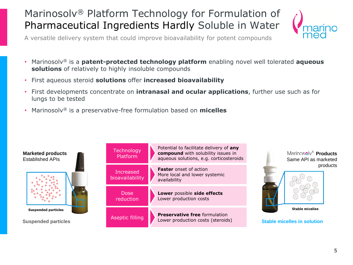### Marinosolv® Platform Technology for Formulation of Pharmaceutical Ingredients Hardly Soluble in Water



A versatile delivery system that could improve bioavailability for potent compounds

- Marinosolv® is a **patent-protected technology platform** enabling novel well tolerated **aqueous solutions** of relatively to highly insoluble compounds
- First aqueous steroid **solutions** offer **increased bioavailability**
- First developments concentrate on **intranasal and ocular applications**, further use such as for lungs to be tested
- Marinosolv® is a preservative-free formulation based on **micelles**

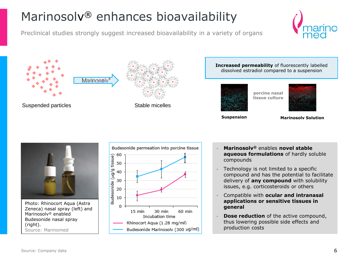## Marinosolv<sup>®</sup> enhances bioavailability

Preclinical studies strongly suggest increased bioavailability in a variety of organs









#### **Increased permeability** of fluorescently labelled dissolved estradiol compared to a suspension



**porcine nasal tissue culture**

**Suspension Marinosolv Solution**



Photo: Rhinocort Aqua (Astra Zeneca) nasal spray (left) and Marinosolv® enabled Budesonide nasal spray (right). Source: Marinomed



- **Marinosolv®** enables **novel stable aqueous formulations** of hardly soluble compounds
- Technology is not limited to a specific compound and has the potential to facilitate delivery of **any compound** with solubility issues, e.g. corticosteroids or others
- Compatible with **ocular and intranasal applications or sensitive tissues in general**
- **Dose reduction** of the active compound, thus lowering possible side effects and production costs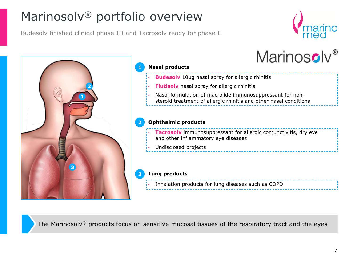## Marinosolv® portfolio overview

Budesolv finished clinical phase III and Tacrosolv ready for phase II





The Marinosolv® products focus on sensitive mucosal tissues of the respiratory tract and the eyes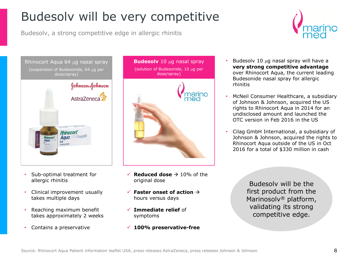## Budesolv will be very competitive

Budesolv, a strong competitive edge in allergic rhinitis





- Sub-optimal treatment for allergic rhinitis
- Clinical improvement usually takes multiple days
- Reaching maximum benefit takes approximately 2 weeks
- Contains a preservative



- $\checkmark$  **Reduced dose**  $\hatrightarrow$  10% of the original dose
- $\checkmark$  **Faster onset of action**  $\hat{\to}$ hours versus days
- ✓ **Immediate relief** of symptoms
- ✓ **100% preservative-free**
- Budesolv 10  $\mu$ g nasal spray will have a **very strong competitive advantage**  over Rhinocort Aqua, the current leading Budesonide nasal spray for allergic rhinitis
- McNeil Consumer Healthcare, a subsidiary of Johnson & Johnson, acquired the US rights to Rhinocort Aqua in 2014 for an undisclosed amount and launched the OTC version in Feb 2016 in the US
- Cilag GmbH International, a subsidiary of Johnson & Johnson, acquired the rights to Rhinocort Aqua outside of the US in Oct 2016 for a total of \$330 million in cash

Budesolv will be the first product from the Marinosolv<sup>®</sup> platform, validating its strong competitive edge.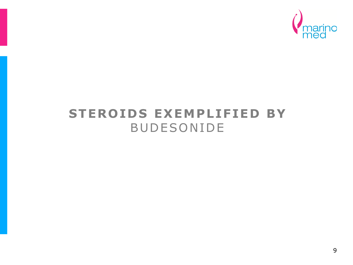

### **STEROIDS EXEMPLIFIED BY BUDESONIDE**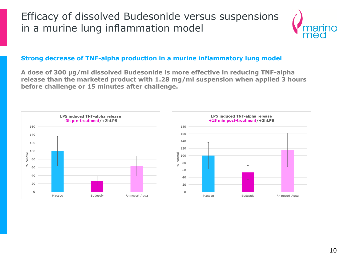### Efficacy of dissolved Budesonide versus suspensions in a murine lung inflammation model



#### **Strong decrease of TNF-alpha production in a murine inflammatory lung model**

**A dose of 300 µg/ml dissolved Budesonide is more effective in reducing TNF-alpha release than the marketed product with 1.28 mg/ml suspension when applied 3 hours before challenge or 15 minutes after challenge.**

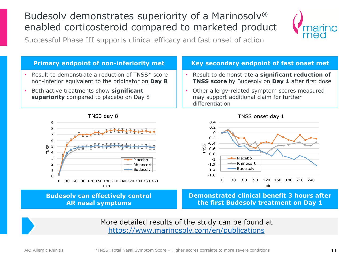### Budesolv demonstrates superiority of a Marinosolv® enabled corticosteroid compared to marketed product



Successful Phase III supports clinical efficacy and fast onset of action



More detailed results of the study can be found at <https://www.marinosolv.com/en/publications>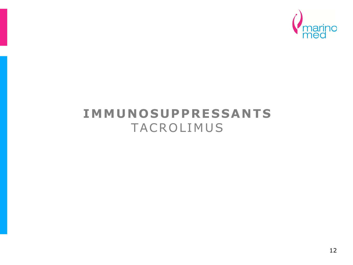

### **IMMUNOSUPPRESSANTS** TACROLIMUS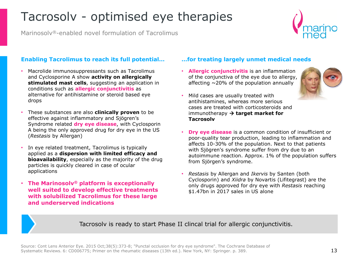## Tacrosolv - optimised eye therapies

Marinosolv®-enabled novel formulation of Tacrolimus

#### **Enabling Tacrolimus to reach its full potential…**

- Macrolide immunosuppressants such as Tacrolimus and Cyclosporine A show **activity on allergically stimulated mast cells**, suggesting an application in conditions such as **allergic conjunctivitis** as alternative for antihistamine or steroid based eye drops
- These substances are also **clinically proven** to be effective against inflammatory and Sjögren's Syndrome related **dry eye disease**, with Cyclosporin A being the only approved drug for dry eye in the US (*Restasis* by Allergan)
- In eye related treatment, Tacrolimus is typically applied as a **dispersion with limited efficacy and bioavailability**, especially as the majority of the drug particles is quickly cleared in case of ocular applications
- **The Marinosolv® platform is exceptionally well suited to develop effective treatments with solubilized Tacrolimus for these large and underserved indications**

#### **…for treating largely unmet medical needs**

• **Allergic conjunctivitis** is an inflammation of the conjunctiva of the eye due to allergy, affecting  $\sim$ 20% of the population annually



- Mild cases are usually treated with antihistamines, whereas more serious cases are treated with corticosteroids and immunotherapy → **target market for Tacrosolv**
- **Dry eye disease** is a common condition of insufficient or poor-quality tear production, leading to inflammation and affects 10-30% of the population. Next to that patients with Sjögren's syndrome suffer from dry due to an autoimmune reaction. Approx. 1% of the population suffers from Sjörgen's syndrome.
- *Restasis* by Allergan and *Ikervis* by Santen (both Cyclosporin) and *Xiidra* by Novartis (Lifitegrast) are the only drugs approved for dry eye with *Restasis* reaching \$1.47bn in 2017 sales in US alone

Tacrosolv is ready to start Phase II clincal trial for allergic conjunctivitis.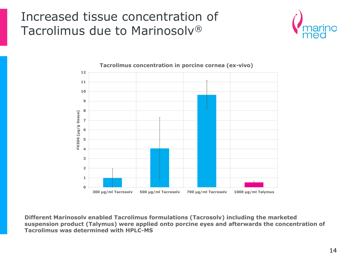### Increased tissue concentration of Tacrolimus due to Marinosolv®





**Different Marinosolv enabled Tacrolimus formulations (Tacrosolv) including the marketed suspension product (Talymus) were applied onto porcine eyes and afterwards the concentration of Tacrolimus was determined with HPLC-MS**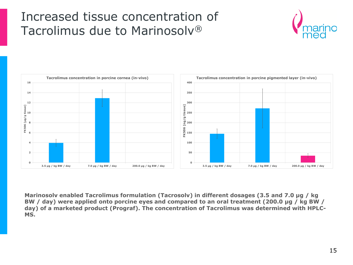### Increased tissue concentration of Tacrolimus due to Marinosolv®





**Marinosolv enabled Tacrolimus formulation (Tacrosolv) in different dosages (3.5 and 7.0 µg / kg BW / day) were applied onto porcine eyes and compared to an oral treatment (200.0 µg / kg BW / day) of a marketed product (Prograf). The concentration of Tacrolimus was determined with HPLC-MS.**